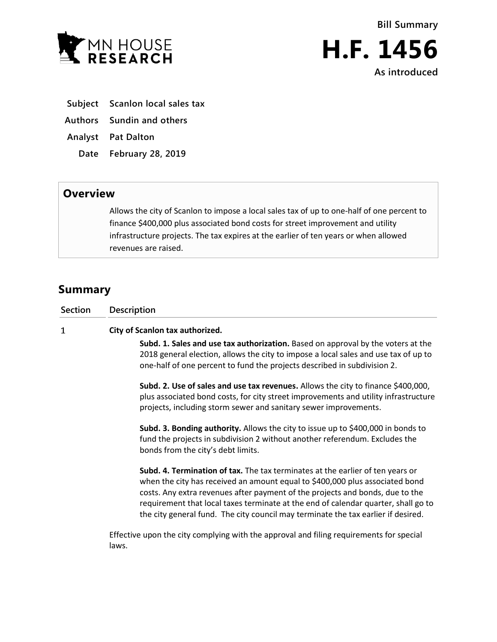



- **Subject Scanlon local sales tax**
- **Authors Sundin and others**
- **Analyst Pat Dalton**
	- **Date February 28, 2019**

## **Overview**

Allows the city of Scanlon to impose a local sales tax of up to one-half of one percent to finance \$400,000 plus associated bond costs for street improvement and utility infrastructure projects. The tax expires at the earlier of ten years or when allowed revenues are raised.

## **Summary**

| Section | <b>Description</b>                                                                                                                                                                                                                                                                                                                                                                                                         |
|---------|----------------------------------------------------------------------------------------------------------------------------------------------------------------------------------------------------------------------------------------------------------------------------------------------------------------------------------------------------------------------------------------------------------------------------|
| 1       | City of Scanlon tax authorized.                                                                                                                                                                                                                                                                                                                                                                                            |
|         | Subd. 1. Sales and use tax authorization. Based on approval by the voters at the<br>2018 general election, allows the city to impose a local sales and use tax of up to<br>one-half of one percent to fund the projects described in subdivision 2.                                                                                                                                                                        |
|         | Subd. 2. Use of sales and use tax revenues. Allows the city to finance \$400,000,<br>plus associated bond costs, for city street improvements and utility infrastructure<br>projects, including storm sewer and sanitary sewer improvements.                                                                                                                                                                               |
|         | Subd. 3. Bonding authority. Allows the city to issue up to \$400,000 in bonds to<br>fund the projects in subdivision 2 without another referendum. Excludes the<br>bonds from the city's debt limits.                                                                                                                                                                                                                      |
|         | Subd. 4. Termination of tax. The tax terminates at the earlier of ten years or<br>when the city has received an amount equal to \$400,000 plus associated bond<br>costs. Any extra revenues after payment of the projects and bonds, due to the<br>requirement that local taxes terminate at the end of calendar quarter, shall go to<br>the city general fund. The city council may terminate the tax earlier if desired. |
|         | Effective upon the city complying with the approval and filing requirements for special<br>laws.                                                                                                                                                                                                                                                                                                                           |